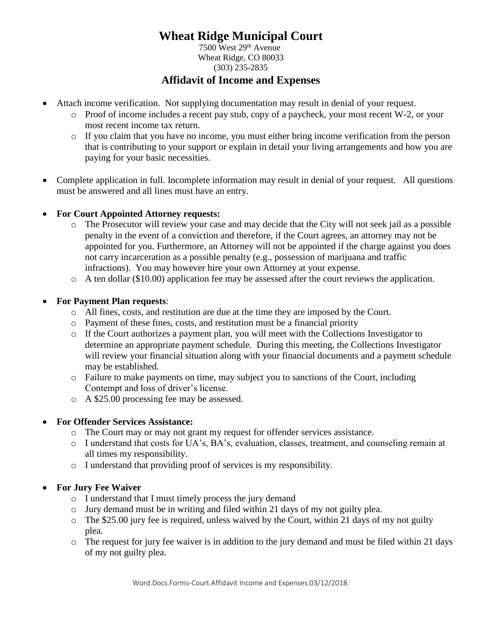# **Wheat Ridge Municipal Court**

 7500 West 29th Avenue Wheat Ridge, CO 80033 (303) 235-2835

## **Affidavit of Income and Expenses**

- Attach income verification. Not supplying documentation may result in denial of your request.
	- o Proof of income includes a recent pay stub, copy of a paycheck, your most recent W-2, or your most recent income tax return.
	- o If you claim that you have no income, you must either bring income verification from the person that is contributing to your support or explain in detail your living arrangements and how you are paying for your basic necessities.
- Complete application in full. Incomplete information may result in denial of your request. All questions must be answered and all lines must have an entry.

### **For Court Appointed Attorney requests:**

- o The Prosecutor will review your case and may decide that the City will not seek jail as a possible penalty in the event of a conviction and therefore, if the Court agrees, an attorney may not be appointed for you. Furthermore, an Attorney will not be appointed if the charge against you does not carry incarceration as a possible penalty (e.g., possession of marijuana and traffic infractions). You may however hire your own Attorney at your expense.
- o A ten dollar (\$10.00) application fee may be assessed after the court reviews the application.

### **For Payment Plan requests**:

- o All fines, costs, and restitution are due at the time they are imposed by the Court.
- o Payment of these fines, costs, and restitution must be a financial priority
- o If the Court authorizes a payment plan, you will meet with the Collections Investigator to determine an appropriate payment schedule. During this meeting, the Collections Investigator will review your financial situation along with your financial documents and a payment schedule may be established.
- o Failure to make payments on time, may subject you to sanctions of the Court, including Contempt and loss of driver's license.
- o A \$25.00 processing fee may be assessed.

# **For Offender Services Assistance:**

- o The Court may or may not grant my request for offender services assistance.
- o I understand that costs for UA's, BA's, evaluation, classes, treatment, and counseling remain at all times my responsibility.
- o I understand that providing proof of services is my responsibility.

# **For Jury Fee Waiver**

- o I understand that I must timely process the jury demand
- o Jury demand must be in writing and filed within 21 days of my not guilty plea.
- o The \$25.00 jury fee is required, unless waived by the Court, within 21 days of my not guilty plea.
- o The request for jury fee waiver is in addition to the jury demand and must be filed within 21 days of my not guilty plea.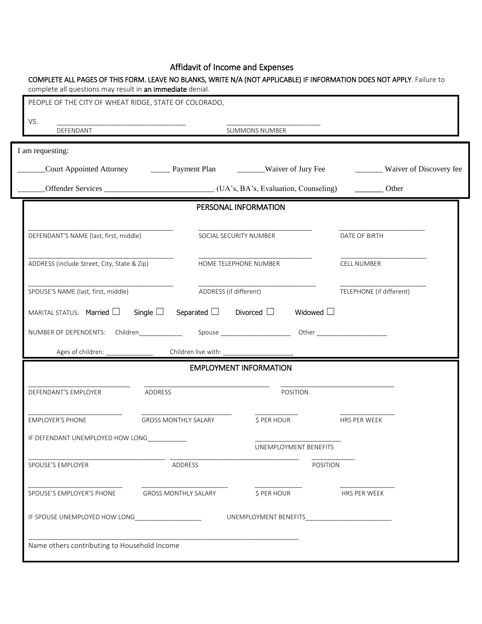#### Affidavit of Income and Expenses

| PEOPLE OF THE CITY OF WHEAT RIDGE, STATE OF COLORADO,                                              |                             |                                                                                         |                                    |  |  |
|----------------------------------------------------------------------------------------------------|-----------------------------|-----------------------------------------------------------------------------------------|------------------------------------|--|--|
| VS.<br>DEFENDANT                                                                                   |                             | <b>SUMMONS NUMBER</b>                                                                   |                                    |  |  |
| I am requesting:                                                                                   |                             |                                                                                         |                                    |  |  |
|                                                                                                    |                             | Court Appointed Attorney _________ Payment Plan ____________Waiver of Jury Fee          | __________ Waiver of Discovery fee |  |  |
|                                                                                                    |                             | Offender Services _________________________________(UA's, BA's, Evaluation, Counseling) | Other                              |  |  |
|                                                                                                    |                             | PERSONAL INFORMATION                                                                    |                                    |  |  |
| DEFENDANT'S NAME (last, first, middle)                                                             |                             | SOCIAL SECURITY NUMBER                                                                  | DATE OF BIRTH                      |  |  |
| ADDRESS (include Street, City, State & Zip)                                                        |                             | HOME TELEPHONE NUMBER                                                                   | CELL NUMBER                        |  |  |
| SPOUSE'S NAME (last, first, middle)                                                                |                             | ADDRESS (if different)                                                                  | TELEPHONE (if different)           |  |  |
| MARITAL STATUS: Married $\Box$                                                                     |                             | Single $\Box$ Separated $\Box$ Divorced $\Box$<br>Widowed $\square$                     |                                    |  |  |
|                                                                                                    |                             |                                                                                         |                                    |  |  |
| Ages of children: _                                                                                |                             |                                                                                         |                                    |  |  |
|                                                                                                    |                             | <b>EMPLOYMENT INFORMATION</b>                                                           |                                    |  |  |
| DEFENDANT'S EMPLOYER                                                                               | ADDRESS                     | POSITION                                                                                |                                    |  |  |
| <b>EMPLOYER'S PHONE</b>                                                                            | <b>GROSS MONTHLY SALARY</b> | \$ PER HOUR                                                                             | HRS PER WEEK                       |  |  |
| IF DEFENDANT UNEMPLOYED HOW LONG                                                                   |                             | UNEMPLOYMENT BENEFITS                                                                   |                                    |  |  |
|                                                                                                    | ADDRESS                     |                                                                                         | <b>POSITION</b>                    |  |  |
|                                                                                                    |                             |                                                                                         |                                    |  |  |
|                                                                                                    | <b>GROSS MONTHLY SALARY</b> | \$ PER HOUR                                                                             | HRS PER WEEK                       |  |  |
| SPOUSE'S EMPLOYER<br>SPOUSE'S EMPLOYER'S PHONE<br>IF SPOUSE UNEMPLOYED HOW LONG __________________ |                             | UNEMPLOYMENT BENEFITS____________________________                                       |                                    |  |  |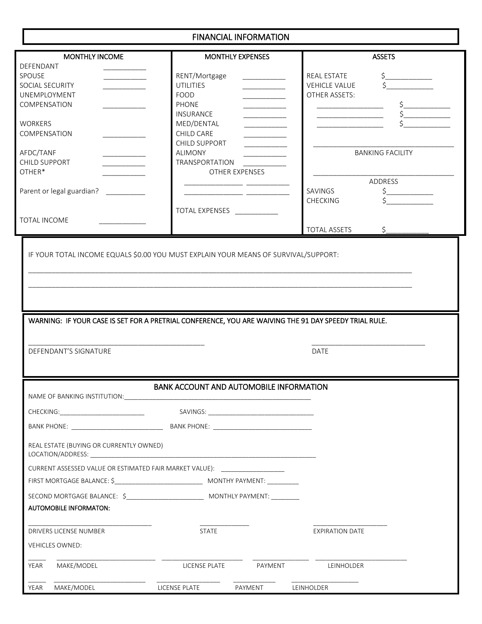### FINANCIAL INFORMATION

| <b>MONTHLY INCOME</b>                                                                                 |                                                | <b>MONTHLY EXPENSES</b>                       | <b>ASSETS</b>                                                                                                                                                                                                                                                                                                                                                      |
|-------------------------------------------------------------------------------------------------------|------------------------------------------------|-----------------------------------------------|--------------------------------------------------------------------------------------------------------------------------------------------------------------------------------------------------------------------------------------------------------------------------------------------------------------------------------------------------------------------|
| DEFENDANT                                                                                             |                                                |                                               |                                                                                                                                                                                                                                                                                                                                                                    |
| SPOUSE                                                                                                | RENT/Mortgage                                  |                                               | REAL ESTATE<br>$\begin{picture}(20,20) \put(0,0){\line(1,0){10}} \put(15,0){\line(1,0){10}} \put(15,0){\line(1,0){10}} \put(15,0){\line(1,0){10}} \put(15,0){\line(1,0){10}} \put(15,0){\line(1,0){10}} \put(15,0){\line(1,0){10}} \put(15,0){\line(1,0){10}} \put(15,0){\line(1,0){10}} \put(15,0){\line(1,0){10}} \put(15,0){\line(1,0){10}} \put(15,0){\line(1$ |
| SOCIAL SECURITY                                                                                       | <b>UTILITIES</b>                               | <u> 1989 - John Barnett, fransk politiker</u> | <b>VEHICLE VALUE</b>                                                                                                                                                                                                                                                                                                                                               |
| UNEMPLOYMENT                                                                                          | FOOD                                           |                                               | OTHER ASSETS:                                                                                                                                                                                                                                                                                                                                                      |
| COMPENSATION                                                                                          | <b>PHONE</b>                                   |                                               | $\begin{picture}(20,20) \put(0,0){\line(1,0){10}} \put(15,0){\line(1,0){10}} \put(15,0){\line(1,0){10}} \put(15,0){\line(1,0){10}} \put(15,0){\line(1,0){10}} \put(15,0){\line(1,0){10}} \put(15,0){\line(1,0){10}} \put(15,0){\line(1,0){10}} \put(15,0){\line(1,0){10}} \put(15,0){\line(1,0){10}} \put(15,0){\line(1,0){10}} \put(15,0){\line(1$                |
|                                                                                                       | <b>INSURANCE</b>                               |                                               |                                                                                                                                                                                                                                                                                                                                                                    |
| <b>WORKERS</b>                                                                                        | MED/DENTAL                                     |                                               |                                                                                                                                                                                                                                                                                                                                                                    |
| COMPENSATION                                                                                          | CHILD CARE                                     |                                               |                                                                                                                                                                                                                                                                                                                                                                    |
|                                                                                                       | CHILD SUPPORT                                  |                                               |                                                                                                                                                                                                                                                                                                                                                                    |
| AFDC/TANF                                                                                             | <b>ALIMONY</b>                                 |                                               | <b>BANKING FACILITY</b>                                                                                                                                                                                                                                                                                                                                            |
|                                                                                                       |                                                |                                               |                                                                                                                                                                                                                                                                                                                                                                    |
| CHILD SUPPORT                                                                                         | TRANSPORTATION                                 |                                               |                                                                                                                                                                                                                                                                                                                                                                    |
| OTHER*                                                                                                |                                                | OTHER EXPENSES                                |                                                                                                                                                                                                                                                                                                                                                                    |
|                                                                                                       |                                                |                                               | ADDRESS                                                                                                                                                                                                                                                                                                                                                            |
| Parent or legal guardian?                                                                             |                                                |                                               | SAVINGS<br>\$.                                                                                                                                                                                                                                                                                                                                                     |
|                                                                                                       |                                                |                                               | <b>CHECKING</b>                                                                                                                                                                                                                                                                                                                                                    |
|                                                                                                       | <b>TOTAL EXPENSES</b>                          |                                               |                                                                                                                                                                                                                                                                                                                                                                    |
| TOTAL INCOME                                                                                          |                                                |                                               |                                                                                                                                                                                                                                                                                                                                                                    |
|                                                                                                       |                                                |                                               | <b>TOTAL ASSETS</b><br>\$                                                                                                                                                                                                                                                                                                                                          |
| IF YOUR TOTAL INCOME EQUALS \$0.00 YOU MUST EXPLAIN YOUR MEANS OF SURVIVAL/SUPPORT:                   |                                                |                                               |                                                                                                                                                                                                                                                                                                                                                                    |
|                                                                                                       |                                                |                                               |                                                                                                                                                                                                                                                                                                                                                                    |
|                                                                                                       |                                                |                                               |                                                                                                                                                                                                                                                                                                                                                                    |
|                                                                                                       |                                                |                                               |                                                                                                                                                                                                                                                                                                                                                                    |
|                                                                                                       |                                                |                                               |                                                                                                                                                                                                                                                                                                                                                                    |
|                                                                                                       |                                                |                                               |                                                                                                                                                                                                                                                                                                                                                                    |
|                                                                                                       |                                                |                                               |                                                                                                                                                                                                                                                                                                                                                                    |
|                                                                                                       |                                                |                                               |                                                                                                                                                                                                                                                                                                                                                                    |
| WARNING: IF YOUR CASE IS SET FOR A PRETRIAL CONFERENCE, YOU ARE WAIVING THE 91 DAY SPEEDY TRIAL RULE. |                                                |                                               |                                                                                                                                                                                                                                                                                                                                                                    |
|                                                                                                       |                                                |                                               |                                                                                                                                                                                                                                                                                                                                                                    |
|                                                                                                       |                                                |                                               |                                                                                                                                                                                                                                                                                                                                                                    |
| DEFENDANT'S SIGNATURE                                                                                 |                                                |                                               | DATE                                                                                                                                                                                                                                                                                                                                                               |
|                                                                                                       |                                                |                                               |                                                                                                                                                                                                                                                                                                                                                                    |
|                                                                                                       |                                                |                                               |                                                                                                                                                                                                                                                                                                                                                                    |
|                                                                                                       | <b>BANK ACCOUNT AND AUTOMOBILE INFORMATION</b> |                                               |                                                                                                                                                                                                                                                                                                                                                                    |
| NAME OF BANKING INSTITUTION:                                                                          |                                                |                                               |                                                                                                                                                                                                                                                                                                                                                                    |
|                                                                                                       |                                                |                                               |                                                                                                                                                                                                                                                                                                                                                                    |
|                                                                                                       |                                                |                                               |                                                                                                                                                                                                                                                                                                                                                                    |
|                                                                                                       |                                                |                                               |                                                                                                                                                                                                                                                                                                                                                                    |
| BANK PHONE: BANK PHONE:                                                                               |                                                |                                               |                                                                                                                                                                                                                                                                                                                                                                    |
|                                                                                                       |                                                |                                               |                                                                                                                                                                                                                                                                                                                                                                    |
| REAL ESTATE (BUYING OR CURRENTLY OWNED)                                                               |                                                |                                               |                                                                                                                                                                                                                                                                                                                                                                    |
|                                                                                                       |                                                |                                               |                                                                                                                                                                                                                                                                                                                                                                    |
| CURRENT ASSESSED VALUE OR ESTIMATED FAIR MARKET VALUE):                                               |                                                |                                               |                                                                                                                                                                                                                                                                                                                                                                    |
|                                                                                                       |                                                |                                               |                                                                                                                                                                                                                                                                                                                                                                    |
|                                                                                                       |                                                |                                               |                                                                                                                                                                                                                                                                                                                                                                    |
|                                                                                                       |                                                |                                               |                                                                                                                                                                                                                                                                                                                                                                    |
|                                                                                                       |                                                |                                               |                                                                                                                                                                                                                                                                                                                                                                    |
| <b>AUTOMOBILE INFORMATON:</b>                                                                         |                                                |                                               |                                                                                                                                                                                                                                                                                                                                                                    |
| DRIVERS LICENSE NUMBER                                                                                | <b>STATE</b>                                   |                                               | <b>EXPIRATION DATE</b>                                                                                                                                                                                                                                                                                                                                             |
|                                                                                                       |                                                |                                               |                                                                                                                                                                                                                                                                                                                                                                    |
| <b>VEHICLES OWNED:</b>                                                                                |                                                |                                               |                                                                                                                                                                                                                                                                                                                                                                    |
| MAKE/MODEL<br>YEAR                                                                                    |                                                | LICENSE PLATE PAYMENT                         | LEINHOLDER                                                                                                                                                                                                                                                                                                                                                         |
|                                                                                                       |                                                |                                               |                                                                                                                                                                                                                                                                                                                                                                    |
|                                                                                                       |                                                |                                               |                                                                                                                                                                                                                                                                                                                                                                    |
| MAKE/MODEL<br>YEAR                                                                                    | LICENSE PLATE PAYMENT LEINHOLDER               |                                               |                                                                                                                                                                                                                                                                                                                                                                    |